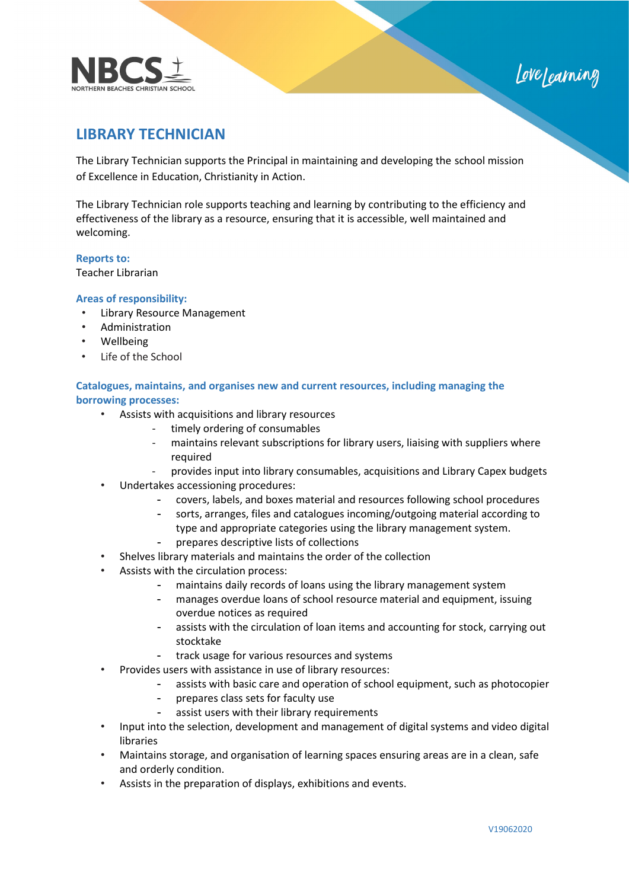



# **LIBRARY TECHNICIAN**

The Library Technician supports the Principal in maintaining and developing the school mission of Excellence in Education, Christianity in Action.

The Library Technician role supports teaching and learning by contributing to the efficiency and effectiveness of the library as a resource, ensuring that it is accessible, well maintained and welcoming.

## **Reports to:**

Teacher Librarian

## **Areas of responsibility:**

- Library Resource Management
- **Administration**
- Wellbeing
- Life of the School

# **Catalogues, maintains, and organises new and current resources, including managing the borrowing processes:**

- Assists with acquisitions and library resources
	- timely ordering of consumables
	- maintains relevant subscriptions for library users, liaising with suppliers where required
	- provides input into library consumables, acquisitions and Library Capex budgets
- Undertakes accessioning procedures:
	- covers, labels, and boxes material and resources following school procedures
	- sorts, arranges, files and catalogues incoming/outgoing material according to type and appropriate categories using the library management system.
	- prepares descriptive lists of collections
- Shelves library materials and maintains the order of the collection
- Assists with the circulation process:
	- maintains daily records of loans using the library management system
		- manages overdue loans of school resource material and equipment, issuing overdue notices as required
		- assists with the circulation of loan items and accounting for stock, carrying out stocktake
		- track usage for various resources and systems
- Provides users with assistance in use of library resources:
	- assists with basic care and operation of school equipment, such as photocopier
	- prepares class sets for faculty use
	- assist users with their library requirements
- Input into the selection, development and management of digital systems and video digital libraries
- Maintains storage, and organisation of learning spaces ensuring areas are in a clean, safe and orderly condition.
- Assists in the preparation of displays, exhibitions and events.